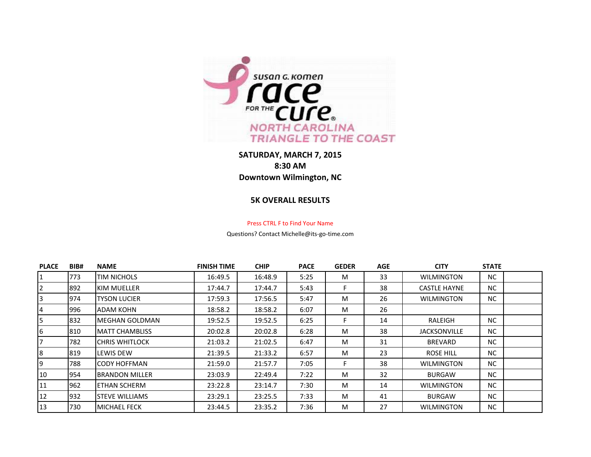

**SATURDAY, MARCH 7, 2015 8:30 AM Downtown Wilmington, NC**

## **5K OVERALL RESULTS**

## Press CTRL F to Find Your Name

Questions? Contact Michelle@its-go-time.com

| <b>PLACE</b> | BIB# | <b>NAME</b>             | <b>FINISH TIME</b> | <b>CHIP</b> | <b>PACE</b> | <b>GEDER</b> | <b>AGE</b> | <b>CITY</b>         | <b>STATE</b> |  |
|--------------|------|-------------------------|--------------------|-------------|-------------|--------------|------------|---------------------|--------------|--|
| 1            | 773  | <b>TIM NICHOLS</b>      | 16:49.5            | 16:48.9     | 5:25        | M            | 33         | <b>WILMINGTON</b>   | NC.          |  |
| 2            | 1892 | IKIM MUELLER            | 17:44.7            | 17:44.7     | 5:43        | F            | 38         | <b>CASTLE HAYNE</b> | NC.          |  |
| 3            | 1974 | ityson Lucier           | 17:59.3            | 17:56.5     | 5:47        | M            | 26         | <b>WILMINGTON</b>   | NC.          |  |
| 4            | 996  | IADAM KOHN              | 18:58.2            | 18:58.2     | 6:07        | M            | 26         |                     |              |  |
| 5            | 832  | <b>I</b> MEGHAN GOLDMAN | 19:52.5            | 19:52.5     | 6:25        | F            | 14         | RALEIGH             | NC.          |  |
| 6            | 810  | IMATT CHAMBLISS         | 20:02.8            | 20:02.8     | 6:28        | M            | 38         | <b>JACKSONVILLE</b> | NC.          |  |
|              | 782  | ICHRIS WHITLOCK         | 21:03.2            | 21:02.5     | 6:47        | M            | 31         | <b>BREVARD</b>      | NC.          |  |
| 8            | 819  | <b>LEWIS DEW</b>        | 21:39.5            | 21:33.2     | 6:57        | M            | 23         | ROSE HILL           | NC.          |  |
| 9            | 788  | ICODY HOFFMAN           | 21:59.0            | 21:57.7     | 7:05        | F.           | 38         | <b>WILMINGTON</b>   | NC.          |  |
| 10           | 1954 | IBRANDON MILLER         | 23:03.9            | 22:49.4     | 7:22        | M            | 32         | <b>BURGAW</b>       | NC.          |  |
| 11           | 962  | <b>ETHAN SCHERM</b>     | 23:22.8            | 23:14.7     | 7:30        | M            | 14         | <b>WILMINGTON</b>   | NC.          |  |
| 12           | 932  | <b>I</b> STEVE WILLIAMS | 23:29.1            | 23:25.5     | 7:33        | M            | 41         | <b>BURGAW</b>       | NC.          |  |
| 13           | 730  | IMICHAEL FECK           | 23:44.5            | 23:35.2     | 7:36        | M            | 27         | WILMINGTON          | NC.          |  |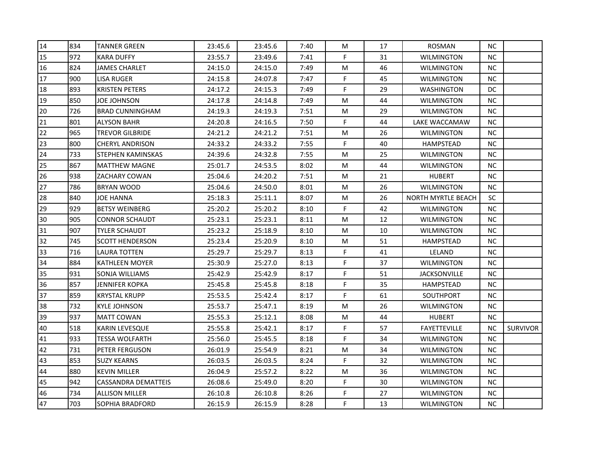| 14 | 834 | <b>TANNER GREEN</b>    | 23:45.6 | 23:45.6 | 7:40 | M  | 17 | <b>ROSMAN</b>       | <b>NC</b> |                 |
|----|-----|------------------------|---------|---------|------|----|----|---------------------|-----------|-----------------|
| 15 | 972 | <b>KARA DUFFY</b>      | 23:55.7 | 23:49.6 | 7:41 | F  | 31 | <b>WILMINGTON</b>   | <b>NC</b> |                 |
| 16 | 824 | <b>JAMES CHARLET</b>   | 24:15.0 | 24:15.0 | 7:49 | M  | 46 | <b>WILMINGTON</b>   | <b>NC</b> |                 |
| 17 | 900 | LISA RUGER             | 24:15.8 | 24:07.8 | 7:47 | F  | 45 | WILMINGTON          | <b>NC</b> |                 |
| 18 | 893 | <b>KRISTEN PETERS</b>  | 24:17.2 | 24:15.3 | 7:49 | F  | 29 | WASHINGTON          | <b>DC</b> |                 |
| 19 | 850 | JOE JOHNSON            | 24:17.8 | 24:14.8 | 7:49 | M  | 44 | WILMINGTON          | <b>NC</b> |                 |
| 20 | 726 | <b>BRAD CUNNINGHAM</b> | 24:19.3 | 24:19.3 | 7:51 | M  | 29 | <b>WILMINGTON</b>   | <b>NC</b> |                 |
| 21 | 801 | <b>ALYSON BAHR</b>     | 24:20.8 | 24:16.5 | 7:50 | F  | 44 | LAKE WACCAMAW       | <b>NC</b> |                 |
| 22 | 965 | TREVOR GILBRIDE        | 24:21.2 | 24:21.2 | 7:51 | M  | 26 | <b>WILMINGTON</b>   | <b>NC</b> |                 |
| 23 | 800 | CHERYL ANDRISON        | 24:33.2 | 24:33.2 | 7:55 | F  | 40 | <b>HAMPSTEAD</b>    | <b>NC</b> |                 |
| 24 | 733 | STEPHEN KAMINSKAS      | 24:39.6 | 24:32.8 | 7:55 | M  | 25 | <b>WILMINGTON</b>   | <b>NC</b> |                 |
| 25 | 867 | <b>MATTHEW MAGNE</b>   | 25:01.7 | 24:53.5 | 8:02 | M  | 44 | <b>WILMINGTON</b>   | <b>NC</b> |                 |
| 26 | 938 | ZACHARY COWAN          | 25:04.6 | 24:20.2 | 7:51 | M  | 21 | <b>HUBERT</b>       | <b>NC</b> |                 |
| 27 | 786 | <b>BRYAN WOOD</b>      | 25:04.6 | 24:50.0 | 8:01 | M  | 26 | <b>WILMINGTON</b>   | <b>NC</b> |                 |
| 28 | 840 | JOE HANNA              | 25:18.3 | 25:11.1 | 8:07 | M  | 26 | NORTH MYRTLE BEACH  | <b>SC</b> |                 |
| 29 | 929 | <b>BETSY WEINBERG</b>  | 25:20.2 | 25:20.2 | 8:10 | F  | 42 | WILMINGTON          | <b>NC</b> |                 |
| 30 | 905 | <b>CONNOR SCHAUDT</b>  | 25:23.1 | 25:23.1 | 8:11 | M  | 12 | WILMINGTON          | <b>NC</b> |                 |
| 31 | 907 | <b>TYLER SCHAUDT</b>   | 25:23.2 | 25:18.9 | 8:10 | M  | 10 | <b>WILMINGTON</b>   | NC        |                 |
| 32 | 745 | <b>SCOTT HENDERSON</b> | 25:23.4 | 25:20.9 | 8:10 | M  | 51 | <b>HAMPSTEAD</b>    | <b>NC</b> |                 |
| 33 | 716 | LAURA TOTTEN           | 25:29.7 | 25:29.7 | 8:13 | F  | 41 | LELAND              | <b>NC</b> |                 |
| 34 | 884 | KATHLEEN MOYER         | 25:30.9 | 25:27.0 | 8:13 | F  | 37 | <b>WILMINGTON</b>   | <b>NC</b> |                 |
| 35 | 931 | SONJA WILLIAMS         | 25:42.9 | 25:42.9 | 8:17 | F  | 51 | <b>JACKSONVILLE</b> | <b>NC</b> |                 |
| 36 | 857 | <b>JENNIFER KOPKA</b>  | 25:45.8 | 25:45.8 | 8:18 | F. | 35 | HAMPSTEAD           | <b>NC</b> |                 |
| 37 | 859 | <b>KRYSTAL KRUPP</b>   | 25:53.5 | 25:42.4 | 8:17 | F  | 61 | <b>SOUTHPORT</b>    | <b>NC</b> |                 |
| 38 | 732 | <b>KYLE JOHNSON</b>    | 25:53.7 | 25:47.1 | 8:19 | M  | 26 | WILMINGTON          | NC        |                 |
| 39 | 937 | <b>MATT COWAN</b>      | 25:55.3 | 25:12.1 | 8:08 | M  | 44 | <b>HUBERT</b>       | <b>NC</b> |                 |
| 40 | 518 | KARIN LEVESQUE         | 25:55.8 | 25:42.1 | 8:17 | F. | 57 | FAYETTEVILLE        | NC.       | <b>SURVIVOR</b> |
| 41 | 933 | <b>TESSA WOLFARTH</b>  | 25:56.0 | 25:45.5 | 8:18 | F  | 34 | <b>WILMINGTON</b>   | <b>NC</b> |                 |
| 42 | 731 | PETER FERGUSON         | 26:01.9 | 25:54.9 | 8:21 | M  | 34 | <b>WILMINGTON</b>   | <b>NC</b> |                 |
| 43 | 853 | <b>SUZY KEARNS</b>     | 26:03.5 | 26:03.5 | 8:24 | F  | 32 | <b>WILMINGTON</b>   | <b>NC</b> |                 |
| 44 | 880 | <b>KEVIN MILLER</b>    | 26:04.9 | 25:57.2 | 8:22 | M  | 36 | <b>WILMINGTON</b>   | <b>NC</b> |                 |
| 45 | 942 | CASSANDRA DEMATTEIS    | 26:08.6 | 25:49.0 | 8:20 | F  | 30 | WILMINGTON          | <b>NC</b> |                 |
| 46 | 734 | <b>ALLISON MILLER</b>  | 26:10.8 | 26:10.8 | 8:26 | F  | 27 | WILMINGTON          | NC.       |                 |
| 47 | 703 | SOPHIA BRADFORD        | 26:15.9 | 26:15.9 | 8:28 | F  | 13 | <b>WILMINGTON</b>   | <b>NC</b> |                 |
|    |     |                        |         |         |      |    |    |                     |           |                 |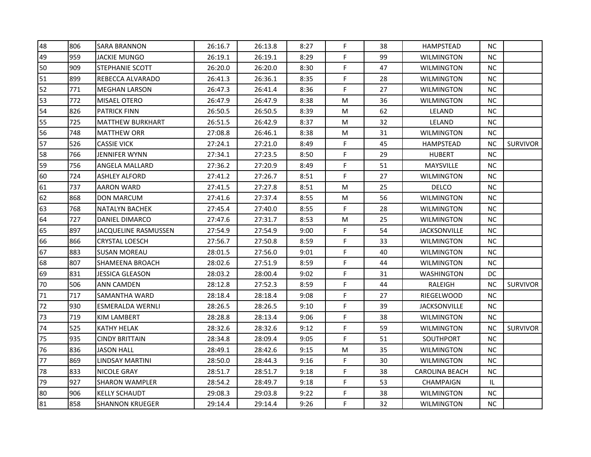| 48 | 806 | <b>SARA BRANNON</b>         | 26:16.7 | 26:13.8 | 8:27 | F. | 38 | <b>HAMPSTEAD</b>      | NC.       |                 |
|----|-----|-----------------------------|---------|---------|------|----|----|-----------------------|-----------|-----------------|
| 49 | 959 | JACKIE MUNGO                | 26:19.1 | 26:19.1 | 8:29 | F. | 99 | <b>WILMINGTON</b>     | NC.       |                 |
| 50 | 909 | STEPHANIE SCOTT             | 26:20.0 | 26:20.0 | 8:30 | F. | 47 | <b>WILMINGTON</b>     | NC.       |                 |
| 51 | 899 | REBECCA ALVARADO            | 26:41.3 | 26:36.1 | 8:35 | F  | 28 | WILMINGTON            | <b>NC</b> |                 |
| 52 | 771 | <b>MEGHAN LARSON</b>        | 26:47.3 | 26:41.4 | 8:36 | F. | 27 | <b>WILMINGTON</b>     | NC.       |                 |
| 53 | 772 | MISAEL OTERO                | 26:47.9 | 26:47.9 | 8:38 | M  | 36 | <b>WILMINGTON</b>     | NC.       |                 |
| 54 | 826 | <b>PATRICK FINN</b>         | 26:50.5 | 26:50.5 | 8:39 | M  | 62 | LELAND                | <b>NC</b> |                 |
| 55 | 725 | <b>MATTHEW BURKHART</b>     | 26:51.5 | 26:42.9 | 8:37 | M  | 32 | LELAND                | NC.       |                 |
| 56 | 748 | <b>MATTHEW ORR</b>          | 27:08.8 | 26:46.1 | 8:38 | M  | 31 | <b>WILMINGTON</b>     | NC.       |                 |
| 57 | 526 | CASSIE VICK                 | 27:24.1 | 27:21.0 | 8:49 | F  | 45 | <b>HAMPSTEAD</b>      | <b>NC</b> | <b>SURVIVOR</b> |
| 58 | 766 | JENNIFER WYNN               | 27:34.1 | 27:23.5 | 8:50 | F  | 29 | <b>HUBERT</b>         | <b>NC</b> |                 |
| 59 | 756 | ANGELA MALLARD              | 27:36.2 | 27:20.9 | 8:49 | F. | 51 | MAYSVILLE             | NC.       |                 |
| 60 | 724 | <b>ASHLEY ALFORD</b>        | 27:41.2 | 27:26.7 | 8:51 | F. | 27 | <b>WILMINGTON</b>     | NC.       |                 |
| 61 | 737 | <b>AARON WARD</b>           | 27:41.5 | 27:27.8 | 8:51 | M  | 25 | <b>DELCO</b>          | <b>NC</b> |                 |
| 62 | 868 | <b>DON MARCUM</b>           | 27:41.6 | 27:37.4 | 8:55 | M  | 56 | <b>WILMINGTON</b>     | <b>NC</b> |                 |
| 63 | 768 | NATALYN BACHEK              | 27:45.4 | 27:40.0 | 8:55 | F  | 28 | <b>WILMINGTON</b>     | NC.       |                 |
| 64 | 727 | DANIEL DIMARCO              | 27:47.6 | 27:31.7 | 8:53 | M  | 25 | <b>WILMINGTON</b>     | <b>NC</b> |                 |
| 65 | 897 | <b>JACQUELINE RASMUSSEN</b> | 27:54.9 | 27:54.9 | 9:00 | F  | 54 | <b>JACKSONVILLE</b>   | NC        |                 |
| 66 | 866 | <b>CRYSTAL LOESCH</b>       | 27:56.7 | 27:50.8 | 8:59 | F  | 33 | <b>WILMINGTON</b>     | NC.       |                 |
| 67 | 883 | <b>SUSAN MOREAU</b>         | 28:01.5 | 27:56.0 | 9:01 | F  | 40 | <b>WILMINGTON</b>     | NC.       |                 |
| 68 | 807 | SHAMEENA BROACH             | 28:02.6 | 27:51.9 | 8:59 | F  | 44 | <b>WILMINGTON</b>     | NC.       |                 |
| 69 | 831 | <b>JESSICA GLEASON</b>      | 28:03.2 | 28:00.4 | 9:02 | F. | 31 | <b>WASHINGTON</b>     | DC.       |                 |
| 70 | 506 | <b>ANN CAMDEN</b>           | 28:12.8 | 27:52.3 | 8:59 | F. | 44 | RALEIGH               | <b>NC</b> | <b>SURVIVOR</b> |
| 71 | 717 | SAMANTHA WARD               | 28:18.4 | 28:18.4 | 9:08 | F  | 27 | RIEGELWOOD            | NC.       |                 |
| 72 | 930 | <b>ESMERALDA WERNLI</b>     | 28:26.5 | 28:26.5 | 9:10 | F  | 39 | <b>JACKSONVILLE</b>   | NC        |                 |
| 73 | 719 | <b>KIM LAMBERT</b>          | 28:28.8 | 28:13.4 | 9:06 | F  | 38 | <b>WILMINGTON</b>     | NC.       |                 |
| 74 | 525 | KATHY HELAK                 | 28:32.6 | 28:32.6 | 9:12 | F  | 59 | WILMINGTON            | ΝC        | <b>SURVIVOR</b> |
| 75 | 935 | <b>CINDY BRITTAIN</b>       | 28:34.8 | 28:09.4 | 9:05 | F  | 51 | SOUTHPORT             | <b>NC</b> |                 |
| 76 | 836 | JASON HALL                  | 28:49.1 | 28:42.6 | 9:15 | M  | 35 | <b>WILMINGTON</b>     | NC.       |                 |
| 77 | 869 | LINDSAY MARTINI             | 28:50.0 | 28:44.3 | 9:16 | F  | 30 | <b>WILMINGTON</b>     | NC.       |                 |
| 78 | 833 | <b>NICOLE GRAY</b>          | 28:51.7 | 28:51.7 | 9:18 | F  | 38 | <b>CAROLINA BEACH</b> | <b>NC</b> |                 |
| 79 | 927 | <b>SHARON WAMPLER</b>       | 28:54.2 | 28:49.7 | 9:18 | F  | 53 | CHAMPAIGN             | IL.       |                 |
| 80 | 906 | <b>KELLY SCHAUDT</b>        | 29:08.3 | 29:03.8 | 9:22 | F  | 38 | <b>WILMINGTON</b>     | NC.       |                 |
| 81 | 858 | <b>SHANNON KRUEGER</b>      | 29:14.4 | 29:14.4 | 9:26 | F  | 32 | <b>WILMINGTON</b>     | NC.       |                 |
|    |     |                             |         |         |      |    |    |                       |           |                 |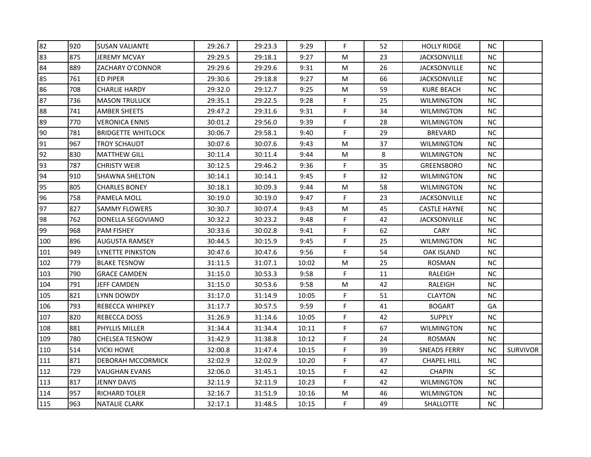| 82  | 920 | <b>SUSAN VALIANTE</b>     | 29:26.7 | 29:23.3 | 9:29  | F. | 52 | <b>HOLLY RIDGE</b>  | NC.       |                 |
|-----|-----|---------------------------|---------|---------|-------|----|----|---------------------|-----------|-----------------|
| 83  | 875 | <b>JEREMY MCVAY</b>       | 29:29.5 | 29:18.1 | 9:27  | M  | 23 | <b>JACKSONVILLE</b> | NC.       |                 |
| 84  | 889 | ZACHARY O'CONNOR          | 29:29.6 | 29:29.6 | 9:31  | M  | 26 | <b>JACKSONVILLE</b> | NC.       |                 |
| 85  | 761 | <b>ED PIPER</b>           | 29:30.6 | 29:18.8 | 9:27  | M  | 66 | <b>JACKSONVILLE</b> | NC.       |                 |
| 86  | 708 | CHARLIE HARDY             | 29:32.0 | 29:12.7 | 9:25  | M  | 59 | <b>KURE BEACH</b>   | NC.       |                 |
| 87  | 736 | <b>MASON TRULUCK</b>      | 29:35.1 | 29:22.5 | 9:28  | F. | 25 | <b>WILMINGTON</b>   | NC.       |                 |
| 88  | 741 | <b>AMBER SHEETS</b>       | 29:47.2 | 29:31.6 | 9:31  | F  | 34 | <b>WILMINGTON</b>   | <b>NC</b> |                 |
| 89  | 770 | VERONICA ENNIS            | 30:01.2 | 29:56.0 | 9:39  | F  | 28 | <b>WILMINGTON</b>   | NC.       |                 |
| 90  | 781 | <b>BRIDGETTE WHITLOCK</b> | 30:06.7 | 29:58.1 | 9:40  | F  | 29 | <b>BREVARD</b>      | NC.       |                 |
| 91  | 967 | TROY SCHAUDT              | 30:07.6 | 30:07.6 | 9:43  | M  | 37 | <b>WILMINGTON</b>   | <b>NC</b> |                 |
| 92  | 830 | <b>MATTHEW GILL</b>       | 30:11.4 | 30:11.4 | 9:44  | M  | 8  | <b>WILMINGTON</b>   | NC.       |                 |
| 93  | 787 | <b>CHRISTY WEIR</b>       | 30:12.5 | 29:46.2 | 9:36  | F. | 35 | <b>GREENSBORO</b>   | NC.       |                 |
| 94  | 910 | <b>SHAWNA SHELTON</b>     | 30:14.1 | 30:14.1 | 9:45  | F. | 32 | <b>WILMINGTON</b>   | NC.       |                 |
| 95  | 805 | <b>CHARLES BONEY</b>      | 30:18.1 | 30:09.3 | 9:44  | M  | 58 | <b>WILMINGTON</b>   | NC.       |                 |
| 96  | 758 | PAMELA MOLL               | 30:19.0 | 30:19.0 | 9:47  | F  | 23 | <b>JACKSONVILLE</b> | NC.       |                 |
| 97  | 827 | <b>SAMMY FLOWERS</b>      | 30:30.7 | 30:07.4 | 9:43  | M  | 45 | <b>CASTLE HAYNE</b> | NC.       |                 |
| 98  | 762 | DONELLA SEGOVIANO         | 30:32.2 | 30:23.2 | 9:48  | F  | 42 | <b>JACKSONVILLE</b> | NC.       |                 |
| 99  | 968 | <b>PAM FISHEY</b>         | 30:33.6 | 30:02.8 | 9:41  | F  | 62 | CARY                | NC.       |                 |
| 100 | 896 | AUGUSTA RAMSEY            | 30:44.5 | 30:15.9 | 9:45  | F. | 25 | <b>WILMINGTON</b>   | <b>NC</b> |                 |
| 101 | 949 | LYNETTE PINKSTON          | 30:47.6 | 30:47.6 | 9:56  | F  | 54 | <b>OAK ISLAND</b>   | NC.       |                 |
| 102 | 779 | <b>BLAKE TESNOW</b>       | 31:11.5 | 31:07.1 | 10:02 | M  | 25 | <b>ROSMAN</b>       | NC.       |                 |
| 103 | 790 | <b>GRACE CAMDEN</b>       | 31:15.0 | 30:53.3 | 9:58  | F. | 11 | RALEIGH             | NC.       |                 |
| 104 | 791 | <b>JEFF CAMDEN</b>        | 31:15.0 | 30:53.6 | 9:58  | M  | 42 | RALEIGH             | <b>NC</b> |                 |
| 105 | 821 | LYNN DOWDY                | 31:17.0 | 31:14.9 | 10:05 | F. | 51 | <b>CLAYTON</b>      | NC.       |                 |
| 106 | 793 | <b>REBECCA WHIPKEY</b>    | 31:17.7 | 30:57.5 | 9:59  | F  | 41 | <b>BOGART</b>       | GA        |                 |
| 107 | 820 | REBECCA DOSS              | 31:26.9 | 31:14.6 | 10:05 | F. | 42 | <b>SUPPLY</b>       | NC.       |                 |
| 108 | 881 | PHYLLIS MILLER            | 31:34.4 | 31:34.4 | 10:11 | F  | 67 | <b>WILMINGTON</b>   | NC.       |                 |
| 109 | 780 | <b>CHELSEA TESNOW</b>     | 31:42.9 | 31:38.8 | 10:12 | F  | 24 | ROSMAN              | <b>NC</b> |                 |
| 110 | 514 | <b>VICKI HOWE</b>         | 32:00.8 | 31:47.4 | 10:15 | F  | 39 | <b>SNEADS FERRY</b> | <b>NC</b> | <b>SURVIVOR</b> |
| 111 | 871 | <b>DEBORAH MCCORMICK</b>  | 32:02.9 | 32:02.9 | 10:20 | F  | 47 | <b>CHAPEL HILL</b>  | NC.       |                 |
| 112 | 729 | VAUGHAN EVANS             | 32:06.0 | 31:45.1 | 10:15 | F  | 42 | <b>CHAPIN</b>       | SC        |                 |
| 113 | 817 | <b>JENNY DAVIS</b>        | 32:11.9 | 32:11.9 | 10:23 | F. | 42 | <b>WILMINGTON</b>   | NC.       |                 |
| 114 | 957 | <b>RICHARD TOLER</b>      | 32:16.7 | 31:51.9 | 10:16 | M  | 46 | <b>WILMINGTON</b>   | NC.       |                 |
| 115 | 963 | <b>NATALIE CLARK</b>      | 32:17.1 | 31:48.5 | 10:15 | F  | 49 | <b>SHALLOTTE</b>    | NC.       |                 |
|     |     |                           |         |         |       |    |    |                     |           |                 |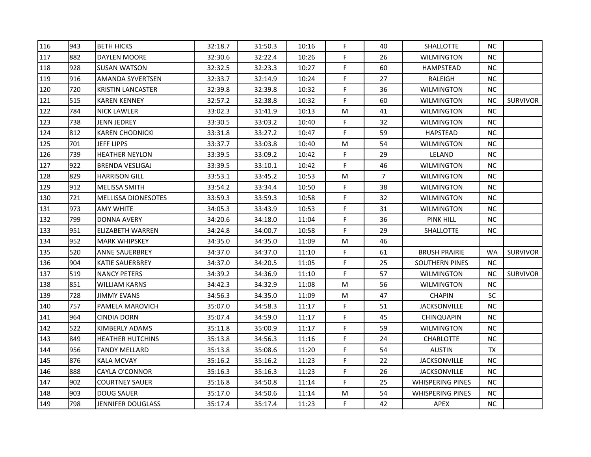| 116 | 943 | <b>BETH HICKS</b>          | 32:18.7 | 31:50.3 | 10:16 | F.          | 40             | <b>SHALLOTTE</b>        | <b>NC</b> |                 |
|-----|-----|----------------------------|---------|---------|-------|-------------|----------------|-------------------------|-----------|-----------------|
| 117 | 882 | <b>DAYLEN MOORE</b>        | 32:30.6 | 32:22.4 | 10:26 | F           | 26             | <b>WILMINGTON</b>       | <b>NC</b> |                 |
| 118 | 928 | <b>SUSAN WATSON</b>        | 32:32.5 | 32:23.3 | 10:27 | F.          | 60             | <b>HAMPSTEAD</b>        | <b>NC</b> |                 |
| 119 | 916 | AMANDA SYVERTSEN           | 32:33.7 | 32:14.9 | 10:24 | F           | 27             | RALEIGH                 | <b>NC</b> |                 |
| 120 | 720 | <b>KRISTIN LANCASTER</b>   | 32:39.8 | 32:39.8 | 10:32 | E           | 36             | <b>WILMINGTON</b>       | <b>NC</b> |                 |
| 121 | 515 | <b>KAREN KENNEY</b>        | 32:57.2 | 32:38.8 | 10:32 | F           | 60             | <b>WILMINGTON</b>       | NC.       | <b>SURVIVOR</b> |
| 122 | 784 | <b>NICK LAWLER</b>         | 33:02.3 | 31:41.9 | 10:13 | M           | 41             | <b>WILMINGTON</b>       | NC        |                 |
| 123 | 738 | JENN JEDREY                | 33:30.5 | 33:03.2 | 10:40 | F.          | 32             | <b>WILMINGTON</b>       | NC.       |                 |
| 124 | 812 | <b>KAREN CHODNICKI</b>     | 33:31.8 | 33:27.2 | 10:47 | F.          | 59             | <b>HAPSTEAD</b>         | NC.       |                 |
| 125 | 701 | JEFF LIPPS                 | 33:37.7 | 33:03.8 | 10:40 | M           | 54             | <b>WILMINGTON</b>       | <b>NC</b> |                 |
| 126 | 739 | <b>HEATHER NEYLON</b>      | 33:39.5 | 33:09.2 | 10:42 | F           | 29             | LELAND                  | NC.       |                 |
| 127 | 922 | <b>BRENDA VESLIGAJ</b>     | 33:39.5 | 33:10.1 | 10:42 | F           | 46             | <b>WILMINGTON</b>       | <b>NC</b> |                 |
| 128 | 829 | <b>HARRISON GILL</b>       | 33:53.1 | 33:45.2 | 10:53 | M           | $\overline{7}$ | <b>WILMINGTON</b>       | <b>NC</b> |                 |
| 129 | 912 | <b>MELISSA SMITH</b>       | 33:54.2 | 33:34.4 | 10:50 | F           | 38             | <b>WILMINGTON</b>       | <b>NC</b> |                 |
| 130 | 721 | <b>MELLISSA DIONESOTES</b> | 33:59.3 | 33:59.3 | 10:58 | F           | 32             | <b>WILMINGTON</b>       | <b>NC</b> |                 |
| 131 | 973 | <b>AMY WHITE</b>           | 34:05.3 | 33:43.9 | 10:53 | F           | 31             | <b>WILMINGTON</b>       | NC        |                 |
| 132 | 799 | <b>DONNA AVERY</b>         | 34:20.6 | 34:18.0 | 11:04 | F           | 36             | <b>PINK HILL</b>        | NC.       |                 |
| 133 | 951 | <b>ELIZABETH WARREN</b>    | 34:24.8 | 34:00.7 | 10:58 | F           | 29             | <b>SHALLOTTE</b>        | <b>NC</b> |                 |
| 134 | 952 | <b>MARK WHIPSKEY</b>       | 34:35.0 | 34:35.0 | 11:09 | M           | 46             |                         |           |                 |
| 135 | 520 | ANNE SAUERBREY             | 34:37.0 | 34:37.0 | 11:10 | F           | 61             | <b>BRUSH PRAIRIE</b>    | <b>WA</b> | <b>SURVIVOR</b> |
| 136 | 904 | <b>KATIE SAUERBREY</b>     | 34:37.0 | 34:20.5 | 11:05 | F.          | 25             | <b>SOUTHERN PINES</b>   | <b>NC</b> |                 |
| 137 | 519 | <b>NANCY PETERS</b>        | 34:39.2 | 34:36.9 | 11:10 | F           | 57             | <b>WILMINGTON</b>       | <b>NC</b> | <b>SURVIVOR</b> |
| 138 | 851 | <b>WILLIAM KARNS</b>       | 34:42.3 | 34:32.9 | 11:08 | M           | 56             | <b>WILMINGTON</b>       | <b>NC</b> |                 |
| 139 | 728 | <b>JIMMY EVANS</b>         | 34:56.3 | 34:35.0 | 11:09 | M           | 47             | <b>CHAPIN</b>           | <b>SC</b> |                 |
| 140 | 757 | PAMELA MAROVICH            | 35:07.0 | 34:58.3 | 11:17 | F           | 51             | <b>JACKSONVILLE</b>     | NC        |                 |
| 141 | 964 | CINDIA DORN                | 35:07.4 | 34:59.0 | 11:17 | F           | 45             | <b>CHINQUAPIN</b>       | <b>NC</b> |                 |
| 142 | 522 | KIMBERLY ADAMS             | 35:11.8 | 35:00.9 | 11:17 | F           | 59             | <b>WILMINGTON</b>       | NC.       |                 |
| 143 | 849 | <b>HEATHER HUTCHINS</b>    | 35:13.8 | 34:56.3 | 11:16 | F           | 24             | <b>CHARLOTTE</b>        | <b>NC</b> |                 |
| 144 | 956 | <b>TANDY MELLARD</b>       | 35:13.8 | 35:08.6 | 11:20 | $\mathsf F$ | 54             | <b>AUSTIN</b>           | TX        |                 |
| 145 | 876 | KALA MCVAY                 | 35:16.2 | 35:16.2 | 11:23 | F           | 22             | <b>JACKSONVILLE</b>     | <b>NC</b> |                 |
| 146 | 888 | CAYLA O'CONNOR             | 35:16.3 | 35:16.3 | 11:23 | F           | 26             | <b>JACKSONVILLE</b>     | NC        |                 |
| 147 | 902 | <b>COURTNEY SAUER</b>      | 35:16.8 | 34:50.8 | 11:14 | F           | 25             | <b>WHISPERING PINES</b> | NC.       |                 |
| 148 | 903 | <b>DOUG SAUER</b>          | 35:17.0 | 34:50.6 | 11:14 | M           | 54             | <b>WHISPERING PINES</b> | NC.       |                 |
| 149 | 798 | <b>JENNIFER DOUGLASS</b>   | 35:17.4 | 35:17.4 | 11:23 | F           | 42             | APEX                    | NC        |                 |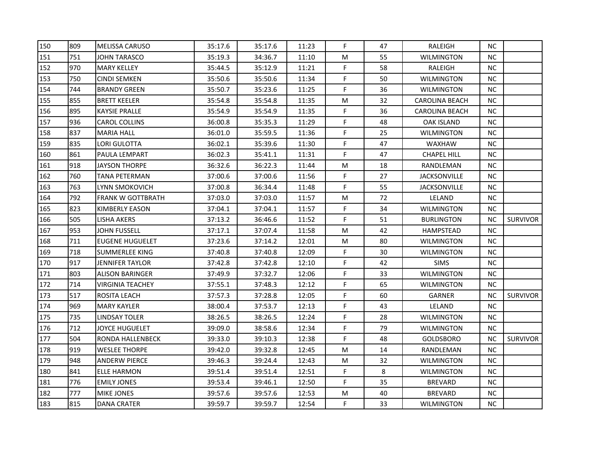| 150 | 809 | <b>MELISSA CARUSO</b>   | 35:17.6 | 35:17.6 | 11:23 | F. | 47 | RALEIGH               | NC.       |                 |
|-----|-----|-------------------------|---------|---------|-------|----|----|-----------------------|-----------|-----------------|
| 151 | 751 | JOHN TARASCO            | 35:19.3 | 34:36.7 | 11:10 | M  | 55 | <b>WILMINGTON</b>     | <b>NC</b> |                 |
| 152 | 970 | <b>MARY KELLEY</b>      | 35:44.5 | 35:12.9 | 11:21 | F  | 58 | RALEIGH               | NC.       |                 |
| 153 | 750 | <b>CINDI SEMKEN</b>     | 35:50.6 | 35:50.6 | 11:34 | F. | 50 | WILMINGTON            | NC        |                 |
| 154 | 744 | <b>BRANDY GREEN</b>     | 35:50.7 | 35:23.6 | 11:25 | F  | 36 | WILMINGTON            | NC.       |                 |
| 155 | 855 | <b>BRETT KEELER</b>     | 35:54.8 | 35:54.8 | 11:35 | M  | 32 | CAROLINA BEACH        | NC.       |                 |
| 156 | 895 | <b>KAYSIE PRALLE</b>    | 35:54.9 | 35:54.9 | 11:35 | F  | 36 | <b>CAROLINA BEACH</b> | NC.       |                 |
| 157 | 936 | CAROL COLLINS           | 36:00.8 | 35:35.3 | 11:29 | F  | 48 | OAK ISLAND            | NC.       |                 |
| 158 | 837 | <b>MARIA HALL</b>       | 36:01.0 | 35:59.5 | 11:36 | F  | 25 | WILMINGTON            | <b>NC</b> |                 |
| 159 | 835 | LORI GULOTTA            | 36:02.1 | 35:39.6 | 11:30 | F. | 47 | <b>WAXHAW</b>         | NC.       |                 |
| 160 | 861 | PAULA LEMPART           | 36:02.3 | 35:41.1 | 11:31 | F  | 47 | <b>CHAPEL HILL</b>    | NC.       |                 |
| 161 | 918 | JAYSON THORPE           | 36:32.6 | 36:22.3 | 11:44 | M  | 18 | RANDLEMAN             | NC.       |                 |
| 162 | 760 | TANA PETERMAN           | 37:00.6 | 37:00.6 | 11:56 | F  | 27 | <b>JACKSONVILLE</b>   | NC        |                 |
| 163 | 763 | LYNN SMOKOVICH          | 37:00.8 | 36:34.4 | 11:48 | F  | 55 | <b>JACKSONVILLE</b>   | NC.       |                 |
| 164 | 792 | FRANK W GOTTBRATH       | 37:03.0 | 37:03.0 | 11:57 | M  | 72 | LELAND                | NC.       |                 |
| 165 | 823 | KIMBERLY EASON          | 37:04.1 | 37:04.1 | 11:57 | F  | 34 | WILMINGTON            | NC.       |                 |
| 166 | 505 | LISHA AKERS             | 37:13.2 | 36:46.6 | 11:52 | F  | 51 | <b>BURLINGTON</b>     | <b>NC</b> | <b>SURVIVOR</b> |
| 167 | 953 | JOHN FUSSELL            | 37:17.1 | 37:07.4 | 11:58 | M  | 42 | HAMPSTEAD             | NC        |                 |
| 168 | 711 | <b>EUGENE HUGUELET</b>  | 37:23.6 | 37:14.2 | 12:01 | M  | 80 | WILMINGTON            | NC.       |                 |
| 169 | 718 | SUMMERLEE KING          | 37:40.8 | 37:40.8 | 12:09 | F. | 30 | WILMINGTON            | NC.       |                 |
| 170 | 917 | JENNIFER TAYLOR         | 37:42.8 | 37:42.8 | 12:10 | F. | 42 | <b>SIMS</b>           | NC.       |                 |
| 171 | 803 | <b>ALISON BARINGER</b>  | 37:49.9 | 37:32.7 | 12:06 | F  | 33 | <b>WILMINGTON</b>     | NC.       |                 |
| 172 | 714 | <b>VIRGINIA TEACHEY</b> | 37:55.1 | 37:48.3 | 12:12 | F  | 65 | <b>WILMINGTON</b>     | <b>NC</b> |                 |
| 173 | 517 | ROSITA LEACH            | 37:57.3 | 37:28.8 | 12:05 | F  | 60 | GARNER                | NC.       | <b>SURVIVOR</b> |
| 174 | 969 | <b>MARY KAYLER</b>      | 38:00.4 | 37:53.7 | 12:13 | F  | 43 | LELAND                | <b>NC</b> |                 |
| 175 | 735 | LINDSAY TOLER           | 38:26.5 | 38:26.5 | 12:24 | F  | 28 | WILMINGTON            | NC.       |                 |
| 176 | 712 | JOYCE HUGUELET          | 39:09.0 | 38:58.6 | 12:34 | F  | 79 | WILMINGTON            | NC.       |                 |
| 177 | 504 | RONDA HALLENBECK        | 39:33.0 | 39:10.3 | 12:38 | F  | 48 | <b>GOLDSBORO</b>      | ΝC        | <b>SURVIVOR</b> |
| 178 | 919 | <b>WESLEE THORPE</b>    | 39:42.0 | 39:32.8 | 12:45 | M  | 14 | RANDLEMAN             | NC.       |                 |
| 179 | 948 | <b>ANDERW PIERCE</b>    | 39:46.3 | 39:24.4 | 12:43 | M  | 32 | WILMINGTON            | NC.       |                 |
| 180 | 841 | ELLE HARMON             | 39:51.4 | 39:51.4 | 12:51 | F  | 8  | WILMINGTON            | <b>NC</b> |                 |
| 181 | 776 | <b>EMILY JONES</b>      | 39:53.4 | 39:46.1 | 12:50 | F  | 35 | <b>BREVARD</b>        | NC.       |                 |
| 182 | 777 | MIKE JONES              | 39:57.6 | 39:57.6 | 12:53 | M  | 40 | <b>BREVARD</b>        | NC.       |                 |
| 183 | 815 | <b>DANA CRATER</b>      | 39:59.7 | 39:59.7 | 12:54 | F  | 33 | WILMINGTON            | NC.       |                 |
|     |     |                         |         |         |       |    |    |                       |           |                 |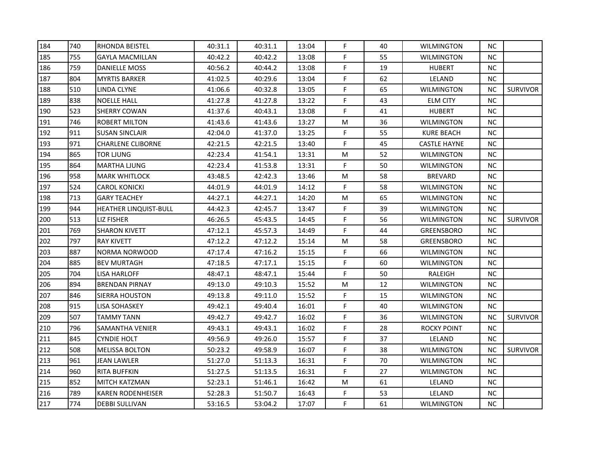| 184 | 740 | <b>RHONDA BEISTEL</b>    | 40:31.1 | 40:31.1 | 13:04 | F.          | 40 | <b>WILMINGTON</b>   | <b>NC</b> |                 |
|-----|-----|--------------------------|---------|---------|-------|-------------|----|---------------------|-----------|-----------------|
| 185 | 755 | <b>GAYLA MACMILLAN</b>   | 40:42.2 | 40:42.2 | 13:08 | F           | 55 | <b>WILMINGTON</b>   | <b>NC</b> |                 |
| 186 | 759 | <b>DANIELLE MOSS</b>     | 40:56.2 | 40:44.2 | 13:08 | F           | 19 | <b>HUBERT</b>       | <b>NC</b> |                 |
| 187 | 804 | <b>MYRTIS BARKER</b>     | 41:02.5 | 40:29.6 | 13:04 | F           | 62 | LELAND              | <b>NC</b> |                 |
| 188 | 510 | LINDA CLYNE              | 41:06.6 | 40:32.8 | 13:05 | F           | 65 | <b>WILMINGTON</b>   | <b>NC</b> | <b>SURVIVOR</b> |
| 189 | 838 | <b>NOELLE HALL</b>       | 41:27.8 | 41:27.8 | 13:22 | F           | 43 | <b>ELM CITY</b>     | <b>NC</b> |                 |
| 190 | 523 | <b>SHERRY COWAN</b>      | 41:37.6 | 40:43.1 | 13:08 | F.          | 41 | <b>HUBERT</b>       | NC        |                 |
| 191 | 746 | ROBERT MILTON            | 41:43.6 | 41:43.6 | 13:27 | M           | 36 | <b>WILMINGTON</b>   | NC.       |                 |
| 192 | 911 | <b>SUSAN SINCLAIR</b>    | 42:04.0 | 41:37.0 | 13:25 | F.          | 55 | KURE BEACH          | NC.       |                 |
| 193 | 971 | <b>CHARLENE CLIBORNE</b> | 42:21.5 | 42:21.5 | 13:40 | F           | 45 | <b>CASTLE HAYNE</b> | NC.       |                 |
| 194 | 865 | <b>TOR LJUNG</b>         | 42:23.4 | 41:54.1 | 13:31 | M           | 52 | <b>WILMINGTON</b>   | NC.       |                 |
| 195 | 864 | <b>MARTHA LJUNG</b>      | 42:23.4 | 41:53.8 | 13:31 | F           | 50 | <b>WILMINGTON</b>   | <b>NC</b> |                 |
| 196 | 958 | <b>MARK WHITLOCK</b>     | 43:48.5 | 42:42.3 | 13:46 | M           | 58 | <b>BREVARD</b>      | <b>NC</b> |                 |
| 197 | 524 | CAROL KONICKI            | 44:01.9 | 44:01.9 | 14:12 | F           | 58 | <b>WILMINGTON</b>   | <b>NC</b> |                 |
| 198 | 713 | <b>GARY TEACHEY</b>      | 44:27.1 | 44:27.1 | 14:20 | M           | 65 | <b>WILMINGTON</b>   | <b>NC</b> |                 |
| 199 | 944 | HEATHER LINQUIST-BULL    | 44:42.3 | 42:45.7 | 13:47 | F           | 39 | WILMINGTON          | NC        |                 |
| 200 | 513 | <b>LIZ FISHER</b>        | 46:26.5 | 45:43.5 | 14:45 | F           | 56 | <b>WILMINGTON</b>   | <b>NC</b> | <b>SURVIVOR</b> |
| 201 | 769 | <b>SHARON KIVETT</b>     | 47:12.1 | 45:57.3 | 14:49 | F           | 44 | <b>GREENSBORO</b>   | <b>NC</b> |                 |
| 202 | 797 | <b>RAY KIVETT</b>        | 47:12.2 | 47:12.2 | 15:14 | M           | 58 | <b>GREENSBORO</b>   | NC        |                 |
| 203 | 887 | NORMA NORWOOD            | 47:17.4 | 47:16.2 | 15:15 | F           | 66 | <b>WILMINGTON</b>   | <b>NC</b> |                 |
| 204 | 885 | <b>BEV MURTAGH</b>       | 47:18.5 | 47:17.1 | 15:15 | F           | 60 | <b>WILMINGTON</b>   | <b>NC</b> |                 |
| 205 | 704 | <b>LISA HARLOFF</b>      | 48:47.1 | 48:47.1 | 15:44 | F           | 50 | RALEIGH             | NC        |                 |
| 206 | 894 | <b>BRENDAN PIRNAY</b>    | 49:13.0 | 49:10.3 | 15:52 | M           | 12 | <b>WILMINGTON</b>   | <b>NC</b> |                 |
| 207 | 846 | <b>SIERRA HOUSTON</b>    | 49:13.8 | 49:11.0 | 15:52 | F           | 15 | <b>WILMINGTON</b>   | <b>NC</b> |                 |
| 208 | 915 | <b>LISA SOHASKEY</b>     | 49:42.1 | 49:40.4 | 16:01 | F           | 40 | <b>WILMINGTON</b>   | <b>NC</b> |                 |
| 209 | 507 | TAMMY TANN               | 49:42.7 | 49:42.7 | 16:02 | F           | 36 | WILMINGTON          | <b>NC</b> | <b>SURVIVOR</b> |
| 210 | 796 | SAMANTHA VENIER          | 49:43.1 | 49:43.1 | 16:02 | F           | 28 | ROCKY POINT         | NC.       |                 |
| 211 | 845 | <b>CYNDIE HOLT</b>       | 49:56.9 | 49:26.0 | 15:57 | F           | 37 | LELAND              | <b>NC</b> |                 |
| 212 | 508 | <b>MELISSA BOLTON</b>    | 50:23.2 | 49:58.9 | 16:07 | $\mathsf F$ | 38 | <b>WILMINGTON</b>   | NC.       | <b>SURVIVOR</b> |
| 213 | 961 | <b>JEAN LAWLER</b>       | 51:27.0 | 51:13.3 | 16:31 | F           | 70 | <b>WILMINGTON</b>   | <b>NC</b> |                 |
| 214 | 960 | <b>RITA BUFFKIN</b>      | 51:27.5 | 51:13.5 | 16:31 | F           | 27 | <b>WILMINGTON</b>   | NC        |                 |
| 215 | 852 | <b>MITCH KATZMAN</b>     | 52:23.1 | 51:46.1 | 16:42 | M           | 61 | LELAND              | NC.       |                 |
| 216 | 789 | <b>KAREN RODENHEISER</b> | 52:28.3 | 51:50.7 | 16:43 | F.          | 53 | LELAND              | NC.       |                 |
| 217 | 774 | <b>DEBBI SULLIVAN</b>    | 53:16.5 | 53:04.2 | 17:07 | F           | 61 | <b>WILMINGTON</b>   | NC        |                 |